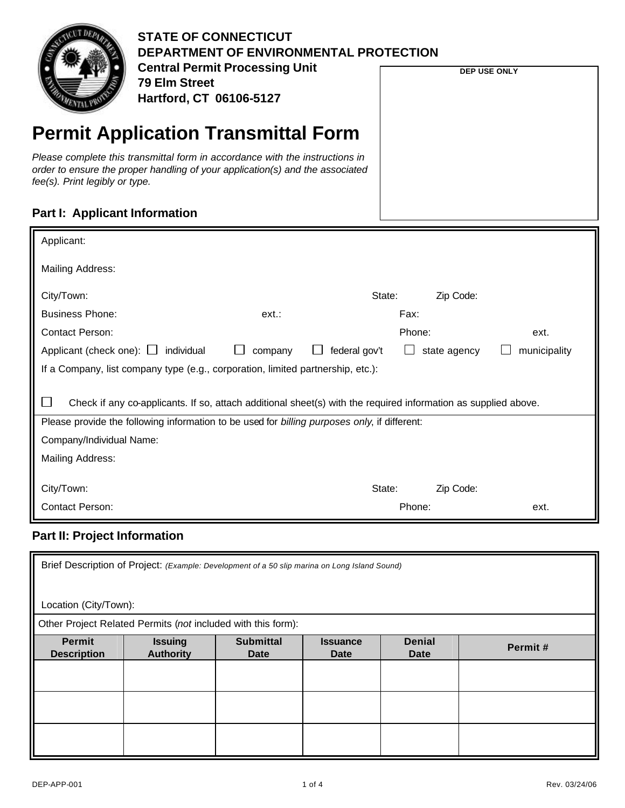

**DEP USE ONLY**

# **Permit Application Transmittal Form**

*Please complete this transmittal form in accordance with the instructions in order to ensure the proper handling of your application(s) and the associated fee(s). Print legibly or type.*

#### **Part I: Applicant Information**

| Applicant:                                                                                                     |         |               |        |              |              |  |  |
|----------------------------------------------------------------------------------------------------------------|---------|---------------|--------|--------------|--------------|--|--|
|                                                                                                                |         |               |        |              |              |  |  |
| Mailing Address:                                                                                               |         |               |        |              |              |  |  |
|                                                                                                                |         |               |        |              |              |  |  |
| City/Town:                                                                                                     |         | State:        |        | Zip Code:    |              |  |  |
| <b>Business Phone:</b>                                                                                         | ext.    |               | Fax:   |              |              |  |  |
| <b>Contact Person:</b>                                                                                         |         |               | Phone: |              | ext.         |  |  |
| Applicant (check one): $\Box$ individual                                                                       | company | federal gov't |        | state agency | municipality |  |  |
| If a Company, list company type (e.g., corporation, limited partnership, etc.):                                |         |               |        |              |              |  |  |
|                                                                                                                |         |               |        |              |              |  |  |
|                                                                                                                |         |               |        |              |              |  |  |
| Check if any co-applicants. If so, attach additional sheet(s) with the required information as supplied above. |         |               |        |              |              |  |  |
| Please provide the following information to be used for billing purposes only, if different:                   |         |               |        |              |              |  |  |
| Company/Individual Name:                                                                                       |         |               |        |              |              |  |  |
| Mailing Address:                                                                                               |         |               |        |              |              |  |  |
|                                                                                                                |         |               |        |              |              |  |  |
| City/Town:                                                                                                     |         | State:        |        | Zip Code:    |              |  |  |
| Contact Person:<br>Phone:                                                                                      |         |               |        | ext.         |              |  |  |
|                                                                                                                |         |               |        |              |              |  |  |

#### **Part II: Project Information**

| Brief Description of Project: (Example: Development of a 50 slip marina on Long Island Sound) |                                                              |                                 |                                |                              |         |  |  |
|-----------------------------------------------------------------------------------------------|--------------------------------------------------------------|---------------------------------|--------------------------------|------------------------------|---------|--|--|
|                                                                                               | Location (City/Town):                                        |                                 |                                |                              |         |  |  |
|                                                                                               | Other Project Related Permits (not included with this form): |                                 |                                |                              |         |  |  |
| <b>Permit</b><br><b>Description</b>                                                           | <b>Issuing</b><br><b>Authority</b>                           | <b>Submittal</b><br><b>Date</b> | <b>Issuance</b><br><b>Date</b> | <b>Denial</b><br><b>Date</b> | Permit# |  |  |
|                                                                                               |                                                              |                                 |                                |                              |         |  |  |
|                                                                                               |                                                              |                                 |                                |                              |         |  |  |
|                                                                                               |                                                              |                                 |                                |                              |         |  |  |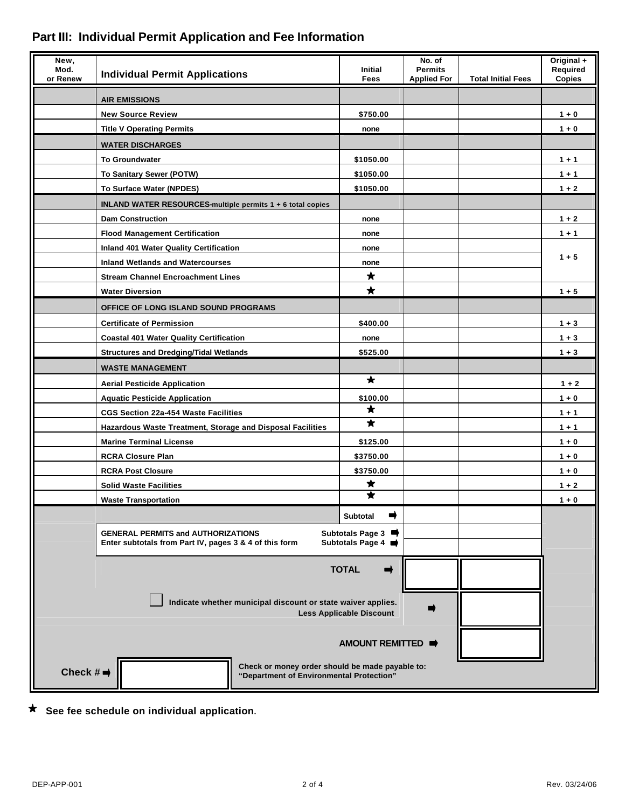| New,<br>Mod.<br>or Renew                                                                                                                    | <b>Individual Permit Applications</b>                                                       | <b>Initial</b><br>Fees | No. of<br><b>Permits</b><br><b>Applied For</b> | <b>Total Initial Fees</b> | Original +<br>Required<br>Copies |
|---------------------------------------------------------------------------------------------------------------------------------------------|---------------------------------------------------------------------------------------------|------------------------|------------------------------------------------|---------------------------|----------------------------------|
|                                                                                                                                             | <b>AIR EMISSIONS</b>                                                                        |                        |                                                |                           |                                  |
|                                                                                                                                             | <b>New Source Review</b>                                                                    | \$750.00               |                                                |                           | $1 + 0$                          |
|                                                                                                                                             | <b>Title V Operating Permits</b>                                                            | none                   |                                                |                           | $1 + 0$                          |
|                                                                                                                                             | <b>WATER DISCHARGES</b>                                                                     |                        |                                                |                           |                                  |
|                                                                                                                                             | <b>To Groundwater</b>                                                                       | \$1050.00              |                                                |                           | $1 + 1$                          |
|                                                                                                                                             | To Sanitary Sewer (POTW)                                                                    | \$1050.00              |                                                |                           | $1 + 1$                          |
|                                                                                                                                             | To Surface Water (NPDES)                                                                    | \$1050.00              |                                                |                           | $1 + 2$                          |
|                                                                                                                                             | INLAND WATER RESOURCES-multiple permits 1 + 6 total copies                                  |                        |                                                |                           |                                  |
|                                                                                                                                             | <b>Dam Construction</b>                                                                     | none                   |                                                |                           | $1 + 2$                          |
|                                                                                                                                             | <b>Flood Management Certification</b>                                                       | none                   |                                                |                           | $1 + 1$                          |
|                                                                                                                                             | Inland 401 Water Quality Certification                                                      | none                   |                                                |                           |                                  |
|                                                                                                                                             | <b>Inland Wetlands and Watercourses</b>                                                     | none                   |                                                |                           | $1 + 5$                          |
|                                                                                                                                             | <b>Stream Channel Encroachment Lines</b>                                                    | $\bigstar$             |                                                |                           |                                  |
|                                                                                                                                             | <b>Water Diversion</b>                                                                      | $\star$                |                                                |                           | $1 + 5$                          |
|                                                                                                                                             | OFFICE OF LONG ISLAND SOUND PROGRAMS                                                        |                        |                                                |                           |                                  |
|                                                                                                                                             | <b>Certificate of Permission</b>                                                            | \$400.00               |                                                |                           | $1 + 3$                          |
|                                                                                                                                             | <b>Coastal 401 Water Quality Certification</b>                                              | none                   |                                                |                           | $1 + 3$                          |
|                                                                                                                                             | <b>Structures and Dredging/Tidal Wetlands</b>                                               | \$525.00               |                                                |                           | $1 + 3$                          |
|                                                                                                                                             | <b>WASTE MANAGEMENT</b>                                                                     |                        |                                                |                           |                                  |
|                                                                                                                                             | <b>Aerial Pesticide Application</b>                                                         | $\star$                |                                                |                           | $1 + 2$                          |
|                                                                                                                                             | <b>Aquatic Pesticide Application</b>                                                        | \$100.00               |                                                |                           | $1 + 0$                          |
|                                                                                                                                             | <b>CGS Section 22a-454 Waste Facilities</b>                                                 | $\star$                |                                                |                           | $1 + 1$                          |
|                                                                                                                                             | Hazardous Waste Treatment, Storage and Disposal Facilities                                  | $\star$                |                                                |                           | $1 + 1$                          |
|                                                                                                                                             | <b>Marine Terminal License</b>                                                              | \$125.00               |                                                |                           | $1 + 0$                          |
|                                                                                                                                             | <b>RCRA Closure Plan</b>                                                                    | \$3750.00              |                                                |                           | $1 + 0$                          |
|                                                                                                                                             | <b>RCRA Post Closure</b>                                                                    | \$3750.00              |                                                |                           | $1 + 0$                          |
|                                                                                                                                             | <b>Solid Waste Facilities</b>                                                               | ★<br>★                 |                                                |                           | $1 + 2$                          |
|                                                                                                                                             | <b>Waste Transportation</b>                                                                 |                        |                                                |                           | $1 + 0$                          |
|                                                                                                                                             |                                                                                             | <b>Subtotal</b><br>➡   |                                                |                           |                                  |
| <b>GENERAL PERMITS and AUTHORIZATIONS</b><br>Subtotals Page 3<br>Subtotals Page 4<br>Enter subtotals from Part IV, pages 3 & 4 of this form |                                                                                             |                        |                                                |                           |                                  |
| <b>TOTAL</b><br>➡                                                                                                                           |                                                                                             |                        |                                                |                           |                                  |
| Indicate whether municipal discount or state waiver applies.<br><b>Less Applicable Discount</b>                                             |                                                                                             |                        |                                                |                           |                                  |
|                                                                                                                                             |                                                                                             | AMOUNT REMITTED        |                                                |                           |                                  |
| Check $# \rightarrow$                                                                                                                       | Check or money order should be made payable to:<br>"Department of Environmental Protection" |                        |                                                |                           |                                  |

## **Part III: Individual Permit Application and Fee Information**

**See fee schedule on individual application.**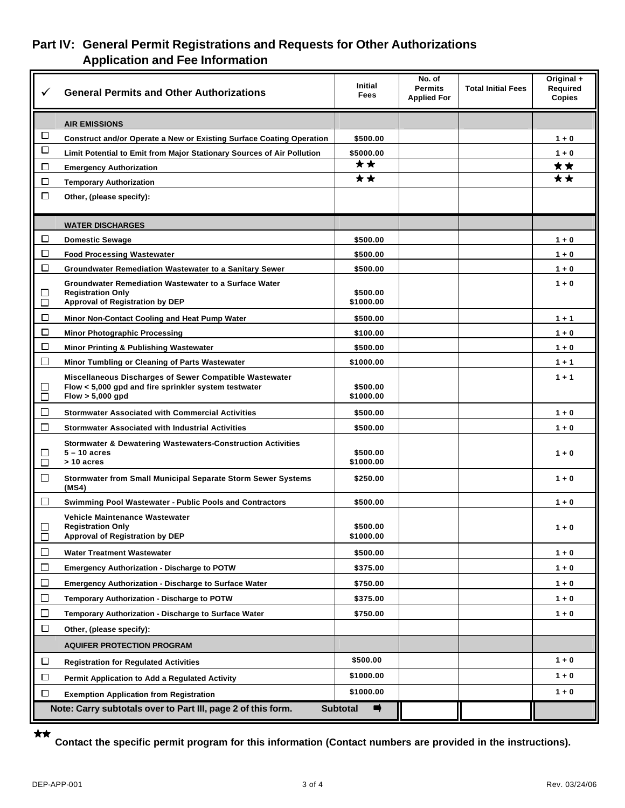### **Part IV: General Permit Registrations and Requests for Other Authorizations Application and Fee Information**

| ✓                | <b>General Permits and Other Authorizations</b>                                                                                     | <b>Initial</b><br><b>Fees</b>    | No. of<br><b>Permits</b><br><b>Applied For</b> | <b>Total Initial Fees</b> | Original +<br>Required<br><b>Copies</b> |
|------------------|-------------------------------------------------------------------------------------------------------------------------------------|----------------------------------|------------------------------------------------|---------------------------|-----------------------------------------|
|                  | <b>AIR EMISSIONS</b>                                                                                                                |                                  |                                                |                           |                                         |
| $\Box$           | Construct and/or Operate a New or Existing Surface Coating Operation                                                                | \$500.00                         |                                                |                           | $1 + 0$                                 |
| $\Box$           | Limit Potential to Emit from Major Stationary Sources of Air Pollution                                                              | \$5000.00                        |                                                |                           | $1 + 0$                                 |
| □                | <b>Emergency Authorization</b>                                                                                                      | **                               |                                                |                           | ★★                                      |
| □                | <b>Temporary Authorization</b>                                                                                                      | **                               |                                                |                           | **                                      |
| $\Box$           | Other, (please specify):                                                                                                            |                                  |                                                |                           |                                         |
|                  | <b>WATER DISCHARGES</b>                                                                                                             |                                  |                                                |                           |                                         |
| □                | <b>Domestic Sewage</b>                                                                                                              | \$500.00                         |                                                |                           | $1 + 0$                                 |
| □                | <b>Food Processing Wastewater</b>                                                                                                   | \$500.00                         |                                                |                           | $1 + 0$                                 |
| □                | Groundwater Remediation Wastewater to a Sanitary Sewer                                                                              | \$500.00                         |                                                |                           | $1 + 0$                                 |
| ப<br>$\Box$      | <b>Groundwater Remediation Wastewater to a Surface Water</b><br><b>Registration Only</b><br>Approval of Registration by DEP         | \$500.00<br>\$1000.00            |                                                |                           | $1 + 0$                                 |
| $\Box$           | Minor Non-Contact Cooling and Heat Pump Water                                                                                       | \$500.00                         |                                                |                           | $1 + 1$                                 |
| □                | <b>Minor Photographic Processing</b>                                                                                                | \$100.00                         |                                                |                           | $1 + 0$                                 |
| □                | Minor Printing & Publishing Wastewater                                                                                              | \$500.00                         |                                                |                           | $1 + 0$                                 |
| 口                | Minor Tumbling or Cleaning of Parts Wastewater                                                                                      | \$1000.00                        |                                                |                           | $1 + 1$                                 |
| $\Box$<br>$\Box$ | Miscellaneous Discharges of Sewer Compatible Wastewater<br>Flow < 5,000 gpd and fire sprinkler system testwater<br>Flow > 5,000 gpd | \$500.00<br>\$1000.00            |                                                |                           | $1 + 1$                                 |
| $\Box$           | <b>Stormwater Associated with Commercial Activities</b>                                                                             | \$500.00                         |                                                |                           | $1 + 0$                                 |
| 口                | <b>Stormwater Associated with Industrial Activities</b>                                                                             | \$500.00                         |                                                |                           | $1 + 0$                                 |
| ⊔<br>$\Box$      | Stormwater & Dewatering Wastewaters-Construction Activities<br>$5 - 10$ acres<br>> 10 acres                                         | \$500.00<br>\$1000.00            |                                                |                           | $1 + 0$                                 |
| 口                | <b>Stormwater from Small Municipal Separate Storm Sewer Systems</b><br>(MS4)                                                        | \$250.00                         |                                                |                           | $1 + 0$                                 |
| $\Box$           | <b>Swimming Pool Wastewater - Public Pools and Contractors</b>                                                                      | \$500.00                         |                                                |                           | $1 + 0$                                 |
| $\Box$<br>$\Box$ | Vehicle Maintenance Wastewater<br><b>Registration Only</b><br>Approval of Registration by DEP                                       | \$500.00<br>\$1000.00            |                                                |                           | $1 + 0$                                 |
| ப                | Water Treatment Wastewater                                                                                                          | \$500.00                         |                                                |                           | $1 + 0$                                 |
| $\Box$           | <b>Emergency Authorization - Discharge to POTW</b>                                                                                  | \$375.00                         |                                                |                           | $1 + 0$                                 |
| 口                | <b>Emergency Authorization - Discharge to Surface Water</b>                                                                         | \$750.00                         |                                                |                           | $1 + 0$                                 |
| $\Box$           | Temporary Authorization - Discharge to POTW                                                                                         | \$375.00                         |                                                |                           | $1 + 0$                                 |
| ப                | Temporary Authorization - Discharge to Surface Water                                                                                | \$750.00                         |                                                |                           | $1 + 0$                                 |
| $\Box$           | Other, (please specify):                                                                                                            |                                  |                                                |                           |                                         |
|                  | <b>AQUIFER PROTECTION PROGRAM</b>                                                                                                   |                                  |                                                |                           |                                         |
| □                | <b>Registration for Regulated Activities</b>                                                                                        | \$500.00                         |                                                |                           | $1 + 0$                                 |
| □                | Permit Application to Add a Regulated Activity                                                                                      | \$1000.00                        |                                                |                           | $1 + 0$                                 |
| □                | <b>Exemption Application from Registration</b>                                                                                      | \$1000.00                        |                                                |                           | $1 + 0$                                 |
|                  | Note: Carry subtotals over to Part III, page 2 of this form.                                                                        | <b>Subtotal</b><br>$\Rightarrow$ |                                                |                           |                                         |
|                  |                                                                                                                                     |                                  |                                                |                           |                                         |

 $\star\star$ 

**Contact the specific permit program for this information (Contact numbers are provided in the instructions).**